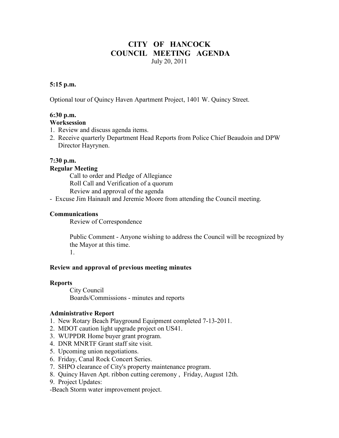### **CITY OF HANCOCK COUNCIL MEETING AGENDA**  July 20, 2011

#### **5:15 p.m.**

Optional tour of Quincy Haven Apartment Project, 1401 W. Quincy Street.

### **6:30 p.m.**

#### **Worksession**

- 1. Review and discuss agenda items.
- 2. Receive quarterly Department Head Reports from Police Chief Beaudoin and DPW Director Hayrynen.

#### **7:30 p.m.**

#### **Regular Meeting**

 Call to order and Pledge of Allegiance Roll Call and Verification of a quorum Review and approval of the agenda

- Excuse Jim Hainault and Jeremie Moore from attending the Council meeting.

#### **Communications**

Review of Correspondence

 Public Comment - Anyone wishing to address the Council will be recognized by the Mayor at this time. 1.

#### **Review and approval of previous meeting minutes**

#### **Reports**

City Council Boards/Commissions - minutes and reports

#### **Administrative Report**

- 1. New Rotary Beach Playground Equipment completed 7-13-2011.
- 2. MDOT caution light upgrade project on US41.
- 3. WUPPDR Home buyer grant program.
- 4. DNR MNRTF Grant staff site visit.
- 5. Upcoming union negotiations.
- 6. Friday, Canal Rock Concert Series.
- 7. SHPO clearance of City's property maintenance program.
- 8. Quincy Haven Apt. ribbon cutting ceremony , Friday, August 12th.
- 9. Project Updates:

-Beach Storm water improvement project.